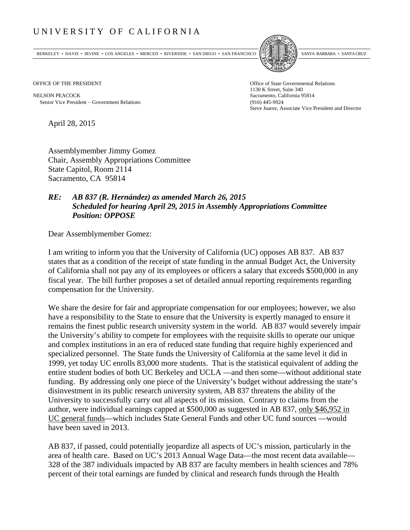## UNIVERSITY OF CALIFORNIA

BERKELEY • DAVIS • IRVINE • LOS ANGELES • MERCED • RIVERSIDE • SAN DIEGO • SAN FRANCISCO SANTA BARBARA • SANTA CRUZ



OFFICE OF THE PRESIDENT STATES OF THE PRESIDENT

NELSON PEACOCK Sacramento, California 95814 Senior Vice President Government Relations (916) 445-9924

1130 K Street, Suite 340 Steve Juarez, Associate Vice President and Director

April 28, 2015

Assemblymember Jimmy Gomez Chair, Assembly Appropriations Committee State Capitol, Room 2114 Sacramento, CA 95814

## *RE: AB 837 (R. Hernández) as amended March 26, 2015 Scheduled for hearing April 29, 2015 in Assembly Appropriations Committee Position: OPPOSE*

Dear Assemblymember Gomez:

I am writing to inform you that the University of California (UC) opposes AB 837. AB 837 states that as a condition of the receipt of state funding in the annual Budget Act, the University of California shall not pay any of its employees or officers a salary that exceeds \$500,000 in any fiscal year. The bill further proposes a set of detailed annual reporting requirements regarding compensation for the University.

We share the desire for fair and appropriate compensation for our employees; however, we also have a responsibility to the State to ensure that the University is expertly managed to ensure it remains the finest public research university system in the world. AB 837 would severely impair the University's ability to compete for employees with the requisite skills to operate our unique and complex institutions in an era of reduced state funding that require highly experienced and specialized personnel. The State funds the University of California at the same level it did in 1999, yet today UC enrolls 83,000 more students. That is the statistical equivalent of adding the entire student bodies of both UC Berkeley and UCLA —and then some—without additional state funding. By addressing only one piece of the University's budget without addressing the state's disinvestment in its public research university system, AB 837 threatens the ability of the University to successfully carry out all aspects of its mission. Contrary to claims from the author, were individual earnings capped at \$500,000 as suggested in AB 837, only \$46,952 in UC general funds—which includes State General Funds and other UC fund sources —would have been saved in 2013.

AB 837, if passed, could potentially jeopardize all aspects of UC's mission, particularly in the area of health care. Based on UC's 2013 Annual Wage Data—the most recent data available— 328 of the 387 individuals impacted by AB 837 are faculty members in health sciences and 78% percent of their total earnings are funded by clinical and research funds through the Health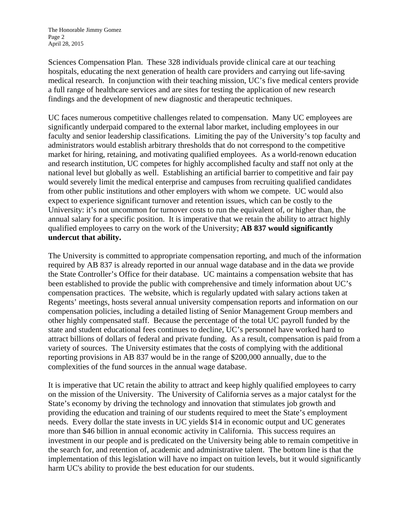Sciences Compensation Plan. These 328 individuals provide clinical care at our teaching hospitals, educating the next generation of health care providers and carrying out life-saving medical research. In conjunction with their teaching mission, UC's five medical centers provide a full range of healthcare services and are sites for testing the application of new research findings and the development of new diagnostic and therapeutic techniques.

UC faces numerous competitive challenges related to compensation. Many UC employees are significantly underpaid compared to the external labor market, including employees in our faculty and senior leadership classifications. Limiting the pay of the University's top faculty and administrators would establish arbitrary thresholds that do not correspond to the competitive market for hiring, retaining, and motivating qualified employees. As a world-renown education and research institution, UC competes for highly accomplished faculty and staff not only at the national level but globally as well. Establishing an artificial barrier to competitive and fair pay would severely limit the medical enterprise and campuses from recruiting qualified candidates from other public institutions and other employers with whom we compete. UC would also expect to experience significant turnover and retention issues, which can be costly to the University: it's not uncommon for turnover costs to run the equivalent of, or higher than, the annual salary for a specific position. It is imperative that we retain the ability to attract highly qualified employees to carry on the work of the University; **AB 837 would significantly undercut that ability.**

The University is committed to appropriate compensation reporting, and much of the information required by AB 837 is already reported in our annual wage database and in the data we provide the State Controller's Office for their database. UC maintains a compensation website that has been established to provide the public with comprehensive and timely information about UC's compensation practices. The website, which is regularly updated with salary actions taken at Regents' meetings, hosts several annual university compensation reports and information on our compensation policies, including a detailed listing of Senior Management Group members and other highly compensated staff. Because the percentage of the total UC payroll funded by the state and student educational fees continues to decline, UC's personnel have worked hard to attract billions of dollars of federal and private funding. As a result, compensation is paid from a variety of sources. The University estimates that the costs of complying with the additional reporting provisions in AB 837 would be in the range of \$200,000 annually, due to the complexities of the fund sources in the annual wage database.

It is imperative that UC retain the ability to attract and keep highly qualified employees to carry on the mission of the University. The University of California serves as a major catalyst for the State's economy by driving the technology and innovation that stimulates job growth and providing the education and training of our students required to meet the State's employment needs. Every dollar the state invests in UC yields \$14 in economic output and UC generates more than \$46 billion in annual economic activity in California. This success requires an investment in our people and is predicated on the University being able to remain competitive in the search for, and retention of, academic and administrative talent. The bottom line is that the implementation of this legislation will have no impact on tuition levels, but it would significantly harm UC's ability to provide the best education for our students.